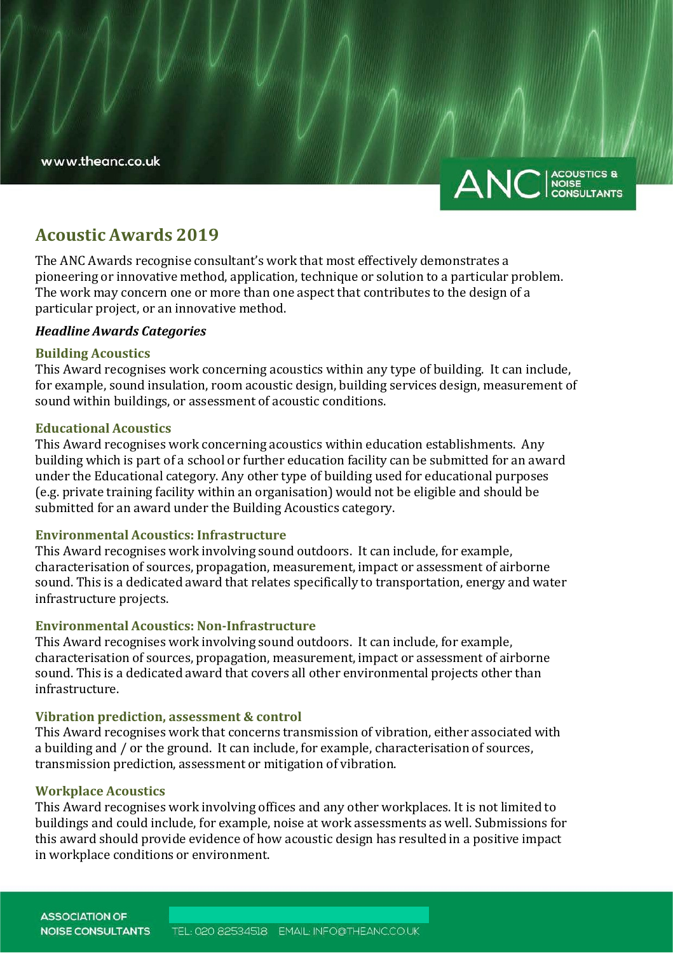www.theanc.co.uk



# **Acoustic Awards 2019**

The ANC Awards recognise consultant's work that most effectively demonstrates a pioneering or innovative method, application, technique or solution to a particular problem. The work may concern one or more than one aspect that contributes to the design of a particular project, or an innovative method.

# *Headline Awards Categories*

## **Building Acoustics**

This Award recognises work concerning acoustics within any type of building. It can include, for example, sound insulation, room acoustic design, building services design, measurement of sound within buildings, or assessment of acoustic conditions.

## **Educational Acoustics**

This Award recognises work concerning acoustics within education establishments. Any building which is part of a school or further education facility can be submitted for an award under the Educational category. Any other type of building used for educational purposes (e.g. private training facility within an organisation) would not be eligible and should be submitted for an award under the Building Acoustics category.

# **Environmental Acoustics: Infrastructure**

This Award recognises work involving sound outdoors. It can include, for example, characterisation of sources, propagation, measurement, impact or assessment of airborne sound. This is a dedicated award that relates specifically to transportation, energy and water infrastructure projects.

# **Environmental Acoustics: Non-Infrastructure**

This Award recognises work involving sound outdoors. It can include, for example, characterisation of sources, propagation, measurement, impact or assessment of airborne sound. This is a dedicated award that covers all other environmental projects other than infrastructure.

# **Vibration prediction, assessment & control**

This Award recognises work that concerns transmission of vibration, either associated with a building and / or the ground. It can include, for example, characterisation of sources, transmission prediction, assessment or mitigation of vibration.

## **Workplace Acoustics**

This Award recognises work involving offices and any other workplaces. It is not limited to buildings and could include, for example, noise at work assessments as well. Submissions for this award should provide evidence of how acoustic design has resulted in a positive impact in workplace conditions or environment.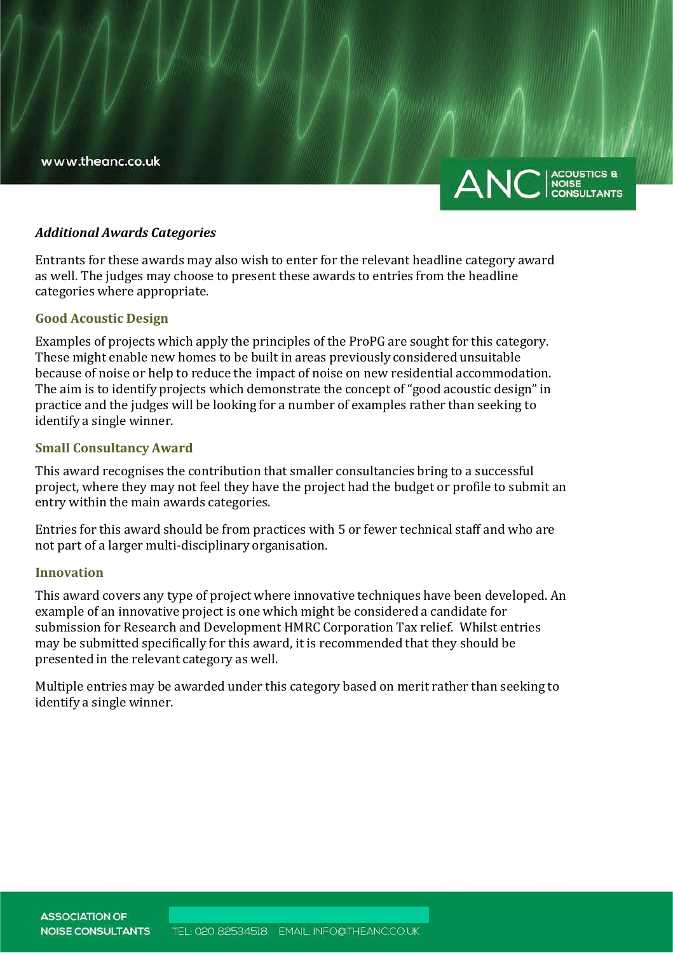www.theanc.co.uk



#### *Additional Awards Categories*

Entrants for these awards may also wish to enter for the relevant headline category award as well. The judges may choose to present these awards to entries from the headline categories where appropriate.

## **Good Acoustic Design**

Examples of projects which apply the principles of the ProPG are sought for this category. These might enable new homes to be built in areas previously considered unsuitable because of noise or help to reduce the impact of noise on new residential accommodation. The aim is to identify projects which demonstrate the concept of "good acoustic design" in practice and the judges will be looking for a number of examples rather than seeking to identify a single winner.

## **Small Consultancy Award**

This award recognises the contribution that smaller consultancies bring to a successful project, where they may not feel they have the project had the budget or profile to submit an entry within the main awards categories.

Entries for this award should be from practices with 5 or fewer technical staff and who are not part of a larger multi-disciplinary organisation.

## **Innovation**

This award covers any type of project where innovative techniques have been developed. An example of an innovative project is one which might be considered a candidate for submission for Research and Development HMRC Corporation Tax relief. Whilst entries may be submitted specifically for this award, it is recommended that they should be presented in the relevant category as well.

Multiple entries may be awarded under this category based on merit rather than seeking to identify a single winner.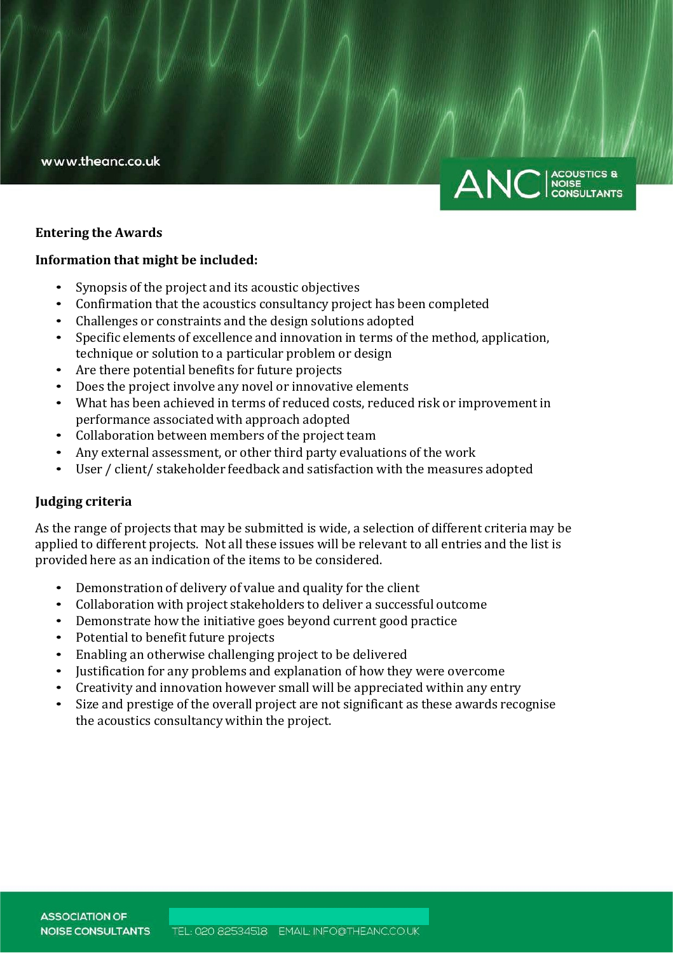



## **Entering the Awards**

## **Information that might be included:**

- Synopsis of the project and its acoustic objectives
- Confirmation that the acoustics consultancy project has been completed
- Challenges or constraints and the design solutions adopted
- Specific elements of excellence and innovation in terms of the method, application, technique or solution to a particular problem or design
- Are there potential benefits for future projects
- Does the project involve any novel or innovative elements
- What has been achieved in terms of reduced costs, reduced risk or improvement in performance associated with approach adopted
- Collaboration between members of the project team
- Any external assessment, or other third party evaluations of the work
- User / client/ stakeholder feedback and satisfaction with the measures adopted

## **Judging criteria**

As the range of projects that may be submitted is wide, a selection of different criteria may be applied to different projects. Not all these issues will be relevant to all entries and the list is provided here as an indication of the items to be considered.

- Demonstration of delivery of value and quality for the client
- Collaboration with project stakeholders to deliver a successful outcome
- Demonstrate how the initiative goes beyond current good practice
- Potential to benefit future projects
- Enabling an otherwise challenging project to be delivered
- Justification for any problems and explanation of how they were overcome
- Creativity and innovation however small will be appreciated within any entry
- Size and prestige of the overall project are not significant as these awards recognise the acoustics consultancy within the project.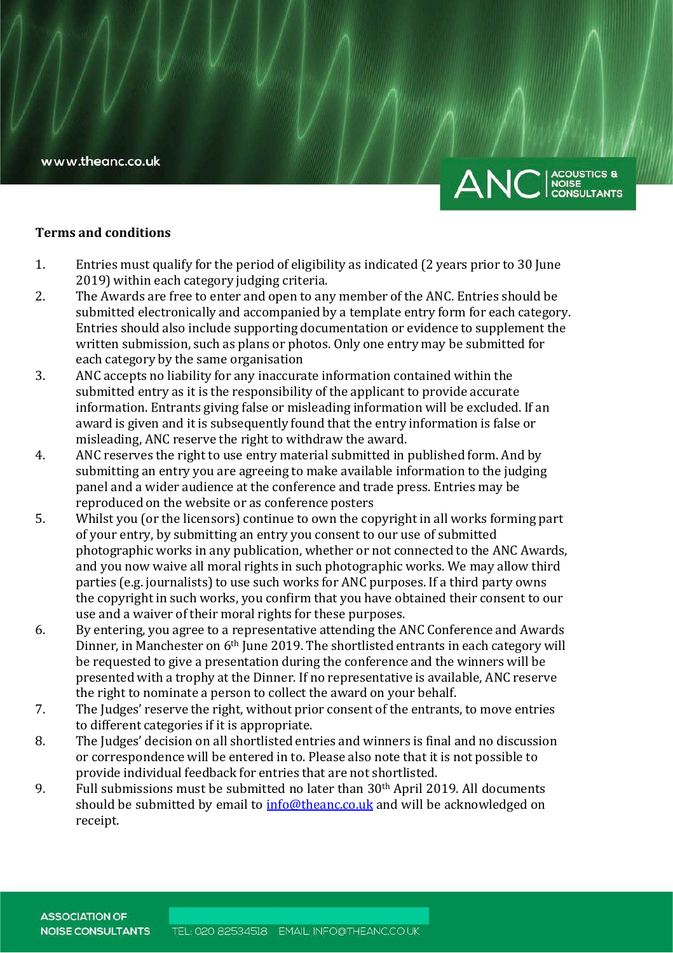

#### **Terms and conditions**

- 1. Entries must qualify for the period of eligibility as indicated (2 years prior to 30 June 2019) within each category judging criteria.
- 2. The Awards are free to enter and open to any member of the ANC. Entries should be submitted electronically and accompanied by a template entry form for each category. Entries should also include supporting documentation or evidence to supplement the written submission, such as plans or photos. Only one entry may be submitted for each category by the same organisation
- 3. ANC accepts no liability for any inaccurate information contained within the submitted entry as it is the responsibility of the applicant to provide accurate information. Entrants giving false or misleading information will be excluded. If an award is given and it is subsequently found that the entry information is false or misleading, ANC reserve the right to withdraw the award.
- 4. ANC reserves the right to use entry material submitted in published form. And by submitting an entry you are agreeing to make available information to the judging panel and a wider audience at the conference and trade press. Entries may be reproduced on the website or as conference posters
- 5. Whilst you (or the licensors) continue to own the copyright in all works forming part of your entry, by submitting an entry you consent to our use of submitted photographic works in any publication, whether or not connected to the ANC Awards, and you now waive all moral rights in such photographic works. We may allow third parties (e.g. journalists) to use such works for ANC purposes. If a third party owns the copyright in such works, you confirm that you have obtained their consent to our use and a waiver of their moral rights for these purposes.
- 6. By entering, you agree to a representative attending the ANC Conference and Awards Dinner, in Manchester on 6<sup>th</sup> June 2019. The shortlisted entrants in each category will be requested to give a presentation during the conference and the winners will be presented with a trophy at the Dinner. If no representative is available, ANC reserve the right to nominate a person to collect the award on your behalf.
- 7. The Judges' reserve the right, without prior consent of the entrants, to move entries to different categories if it is appropriate.
- 8. The Judges' decision on all shortlisted entries and winners is final and no discussion or correspondence will be entered in to. Please also note that it is not possible to provide individual feedback for entries that are not shortlisted.
- 9. Full submissions must be submitted no later than 30th April 2019. All documents should be submitted by email to [info@theanc.co.uk](mailto:info@theanc.co.uk) and will be acknowledged on receipt.